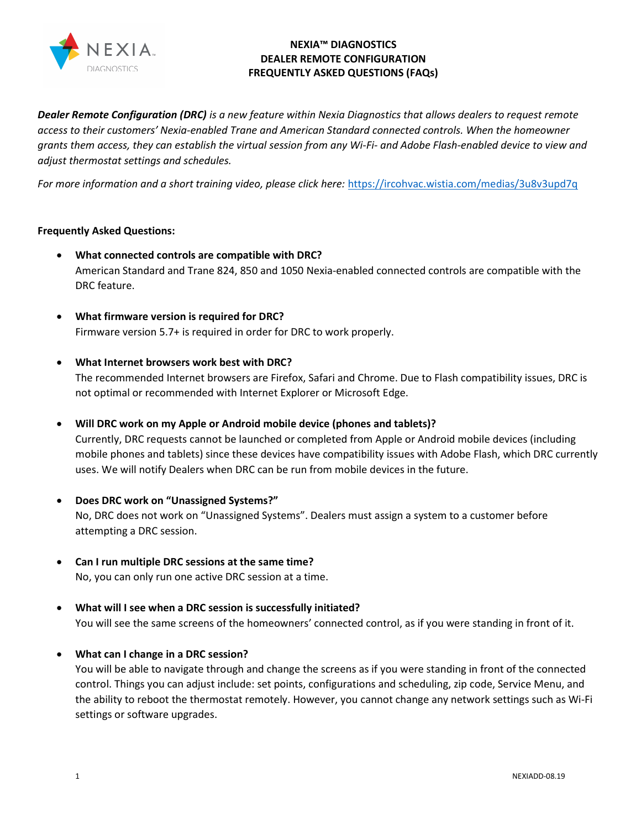

# NEXIA™ DIAGNOSTICS DEALER REMOTE CONFIGURATION FREQUENTLY ASKED QUESTIONS (FAQs)

Dealer Remote Configuration (DRC) is a new feature within Nexia Diagnostics that allows dealers to request remote access to their customers' Nexia-enabled Trane and American Standard connected controls. When the homeowner grants them access, they can establish the virtual session from any Wi-Fi- and Adobe Flash-enabled device to view and adjust thermostat settings and schedules.

For more information and a short training video, please click here: https://ircohvac.wistia.com/medias/3u8v3upd7q

### Frequently Asked Questions:

- What connected controls are compatible with DRC? American Standard and Trane 824, 850 and 1050 Nexia-enabled connected controls are compatible with the DRC feature.
- What firmware version is required for DRC? Firmware version 5.7+ is required in order for DRC to work properly.
- What Internet browsers work best with DRC?

The recommended Internet browsers are Firefox, Safari and Chrome. Due to Flash compatibility issues, DRC is not optimal or recommended with Internet Explorer or Microsoft Edge.

Will DRC work on my Apple or Android mobile device (phones and tablets)?

Currently, DRC requests cannot be launched or completed from Apple or Android mobile devices (including mobile phones and tablets) since these devices have compatibility issues with Adobe Flash, which DRC currently uses. We will notify Dealers when DRC can be run from mobile devices in the future.

- Does DRC work on "Unassigned Systems?" No, DRC does not work on "Unassigned Systems". Dealers must assign a system to a customer before attempting a DRC session.
- Can I run multiple DRC sessions at the same time? No, you can only run one active DRC session at a time.
- What will I see when a DRC session is successfully initiated? You will see the same screens of the homeowners' connected control, as if you were standing in front of it.
- What can I change in a DRC session?

You will be able to navigate through and change the screens as if you were standing in front of the connected control. Things you can adjust include: set points, configurations and scheduling, zip code, Service Menu, and the ability to reboot the thermostat remotely. However, you cannot change any network settings such as Wi-Fi settings or software upgrades.